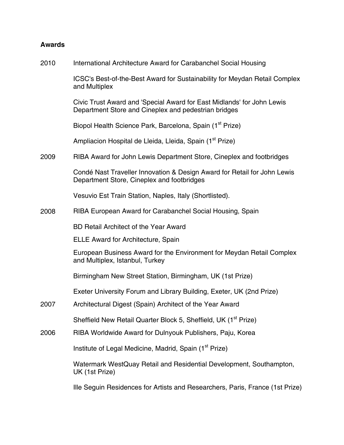## **Awards**

2010 International Architecture Award for Carabanchel Social Housing

> ICSC's Best-of-the-Best Award for Sustainability for Meydan Retail Complex and Multiplex

Civic Trust Award and 'Special Award for East Midlands' for John Lewis Department Store and Cineplex and pedestrian bridges

Biopol Health Science Park, Barcelona, Spain (1<sup>st</sup> Prize)

Ampliacion Hospital de Lleida, Lleida, Spain (1<sup>st</sup> Prize)

2009 RIBA Award for John Lewis Department Store, Cineplex and footbridges

> Condé Nast Traveller Innovation & Design Award for Retail for John Lewis Department Store, Cineplex and footbridges

Vesuvio Est Train Station, Naples, Italy (Shortlisted).

2008 RIBA European Award for Carabanchel Social Housing, Spain

BD Retail Architect of the Year Award

ELLE Award for Architecture, Spain

 European Business Award for the Environment for Meydan Retail Complex and Multiplex, Istanbul, Turkey

Birmingham New Street Station, Birmingham, UK (1st Prize)

Exeter University Forum and Library Building, Exeter, UK (2nd Prize)

2007 Architectural Digest (Spain) Architect of the Year Award

Sheffield New Retail Quarter Block 5, Sheffield, UK (1<sup>st</sup> Prize)

2006 RIBA Worldwide Award for Dulnyouk Publishers, Paju, Korea

Institute of Legal Medicine, Madrid, Spain (1<sup>st</sup> Prize)

Watermark WestQuay Retail and Residential Development, Southampton, UK (1st Prize)

Ille Seguin Residences for Artists and Researchers, Paris, France (1st Prize)